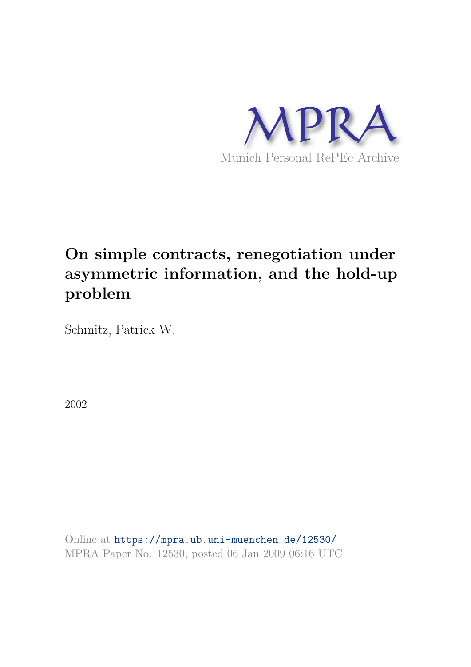

## **On simple contracts, renegotiation under asymmetric information, and the hold-up problem**

Schmitz, Patrick W.

2002

Online at https://mpra.ub.uni-muenchen.de/12530/ MPRA Paper No. 12530, posted 06 Jan 2009 06:16 UTC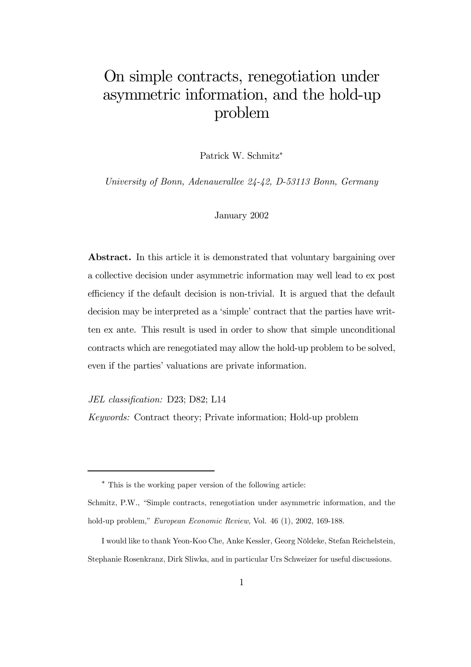## On simple contracts, renegotiation under asymmetric information, and the hold-up problem

Patrick W. Schmitz<sup>∗</sup>

*University of Bonn, Adenauerallee 24-42, D-53113 Bonn, Germany*

#### January 2002

Abstract. In this article it is demonstrated that voluntary bargaining over a collective decision under asymmetric information may well lead to ex post efficiency if the default decision is non-trivial. It is argued that the default decision may be interpreted as a 'simple' contract that the parties have written ex ante. This result is used in order to show that simple unconditional contracts which are renegotiated may allow the hold-up problem to be solved, even if the parties' valuations are private information.

*JEL classi*fi*cation:* D23; D82; L14

*Keywords:* Contract theory; Private information; Hold-up problem

<sup>∗</sup> This is the working paper version of the following article:

Schmitz, P.W., "Simple contracts, renegotiation under asymmetric information, and the hold-up problem," *European Economic Review*, Vol. 46 (1), 2002, 169-188.

I would like to thank Yeon-Koo Che, Anke Kessler, Georg Nöldeke, Stefan Reichelstein, Stephanie Rosenkranz, Dirk Sliwka, and in particular Urs Schweizer for useful discussions.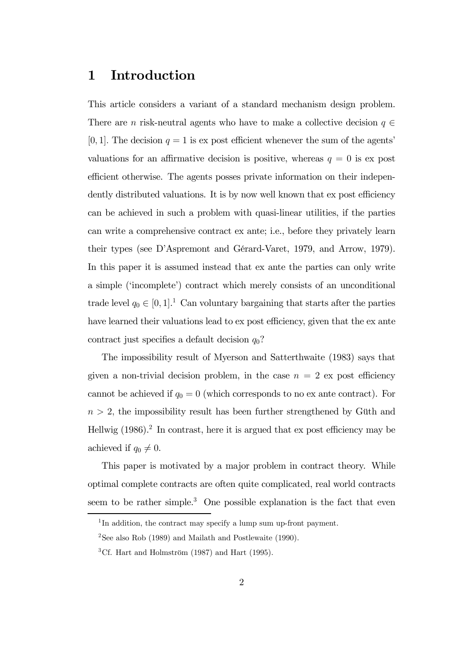### 1 Introduction

This article considers a variant of a standard mechanism design problem. There are *n* risk-neutral agents who have to make a collective decision  $q \in$ [0, 1]. The decision  $q = 1$  is expost efficient whenever the sum of the agents' valuations for an affirmative decision is positive, whereas  $q = 0$  is ex post efficient otherwise. The agents posses private information on their independently distributed valuations. It is by now well known that ex post efficiency can be achieved in such a problem with quasi-linear utilities, if the parties can write a comprehensive contract ex ante; i.e., before they privately learn their types (see D'Aspremont and Gérard-Varet, 1979, and Arrow, 1979). In this paper it is assumed instead that ex ante the parties can only write a simple ('incomplete') contract which merely consists of an unconditional trade level  $q_0 \in [0, 1]$ <sup>1</sup> Can voluntary bargaining that starts after the parties have learned their valuations lead to ex post efficiency, given that the ex ante contract just specifies a default decision  $q_0$ ?

The impossibility result of Myerson and Satterthwaite (1983) says that given a non-trivial decision problem, in the case  $n = 2$  ex post efficiency cannot be achieved if  $q_0 = 0$  (which corresponds to no ex ante contract). For  $n > 2$ , the impossibility result has been further strengthened by Güth and Hellwig  $(1986)^2$  In contrast, here it is argued that ex post efficiency may be achieved if  $q_0 \neq 0$ .

This paper is motivated by a major problem in contract theory. While optimal complete contracts are often quite complicated, real world contracts seem to be rather simple.<sup>3</sup> One possible explanation is the fact that even

<sup>&</sup>lt;sup>1</sup>In addition, the contract may specify a lump sum up-front payment.

<sup>&</sup>lt;sup>2</sup>See also Rob (1989) and Mailath and Postlewaite (1990).

<sup>&</sup>lt;sup>3</sup>Cf. Hart and Holmström  $(1987)$  and Hart  $(1995)$ .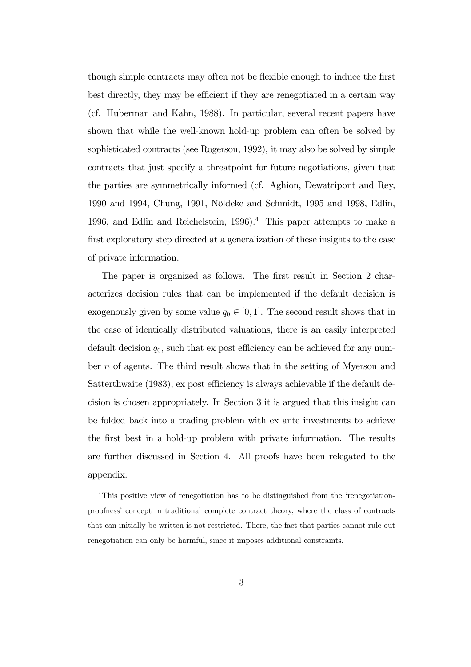though simple contracts may often not be flexible enough to induce the first best directly, they may be efficient if they are renegotiated in a certain way (cf. Huberman and Kahn, 1988). In particular, several recent papers have shown that while the well-known hold-up problem can often be solved by sophisticated contracts (see Rogerson, 1992), it may also be solved by simple contracts that just specify a threatpoint for future negotiations, given that the parties are symmetrically informed (cf. Aghion, Dewatripont and Rey, 1990 and 1994, Chung, 1991, Nöldeke and Schmidt, 1995 and 1998, Edlin, 1996, and Edlin and Reichelstein, 1996).<sup>4</sup> This paper attempts to make a first exploratory step directed at a generalization of these insights to the case of private information.

The paper is organized as follows. The first result in Section 2 characterizes decision rules that can be implemented if the default decision is exogenously given by some value  $q_0 \in [0, 1]$ . The second result shows that in the case of identically distributed valuations, there is an easily interpreted default decision  $q_0$ , such that ex post efficiency can be achieved for any number n of agents. The third result shows that in the setting of Myerson and Satterthwaite (1983), ex post efficiency is always achievable if the default decision is chosen appropriately. In Section 3 it is argued that this insight can be folded back into a trading problem with ex ante investments to achieve the first best in a hold-up problem with private information. The results are further discussed in Section 4. All proofs have been relegated to the appendix.

<sup>&</sup>lt;sup>4</sup>This positive view of renegotiation has to be distinguished from the 'renegotiationproofness' concept in traditional complete contract theory, where the class of contracts that can initially be written is not restricted. There, the fact that parties cannot rule out renegotiation can only be harmful, since it imposes additional constraints.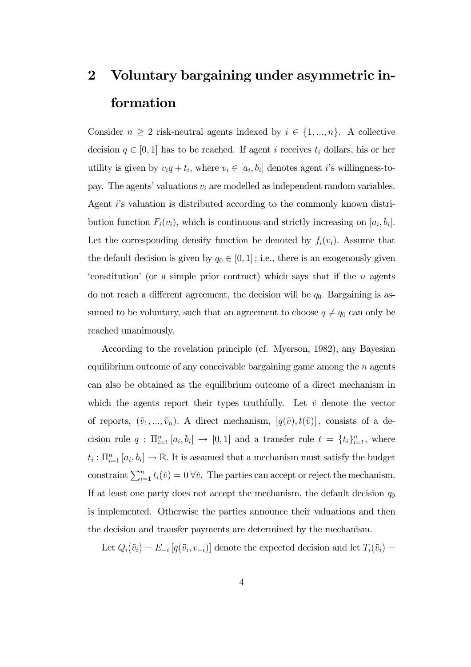# 2 Voluntary bargaining under asymmetric information

Consider  $n \geq 2$  risk-neutral agents indexed by  $i \in \{1, ..., n\}$ . A collective decision  $q \in [0, 1]$  has to be reached. If agent i receives  $t_i$  dollars, his or her utility is given by  $v_i q + t_i$ , where  $v_i \in [a_i, b_i]$  denotes agent *i*'s willingness-topay. The agents' valuations  $v_i$  are modelled as independent random variables. Agent i's valuation is distributed according to the commonly known distribution function  $F_i(v_i)$ , which is continuous and strictly increasing on  $[a_i, b_i]$ . Let the corresponding density function be denoted by  $f_i(v_i)$ . Assume that the default decision is given by  $q_0 \in [0, 1]$ ; i.e., there is an exogenously given 'constitution' (or a simple prior contract) which says that if the  $n$  agents do not reach a different agreement, the decision will be  $q_0$ . Bargaining is assumed to be voluntary, such that an agreement to choose  $q \neq q_0$  can only be reached unanimously.

According to the revelation principle (cf. Myerson, 1982), any Bayesian equilibrium outcome of any conceivable bargaining game among the  $n$  agents can also be obtained as the equilibrium outcome of a direct mechanism in which the agents report their types truthfully. Let  $\tilde{v}$  denote the vector of reports,  $(\tilde{v}_1, ..., \tilde{v}_n)$ . A direct mechanism,  $[q(\tilde{v}), t(\tilde{v})]$ , consists of a decision rule  $q: \Pi_{i=1}^n [a_i, b_i] \to [0, 1]$  and a transfer rule  $t = \{t_i\}_{i=1}^n$ , where  $t_i: \prod_{i=1}^n [a_i, b_i] \to \mathbb{R}$ . It is assumed that a mechanism must satisfy the budget constraint  $\sum_{i=1}^{n} t_i(\tilde{v})=0$   $\forall \tilde{v}$ . The parties can accept or reject the mechanism. If at least one party does not accept the mechanism, the default decision  $q_0$ is implemented. Otherwise the parties announce their valuations and then the decision and transfer payments are determined by the mechanism.

Let  $Q_i(\tilde{v}_i) = E_{-i} [q(\tilde{v}_i, v_{-i})]$  denote the expected decision and let  $T_i(\tilde{v}_i) =$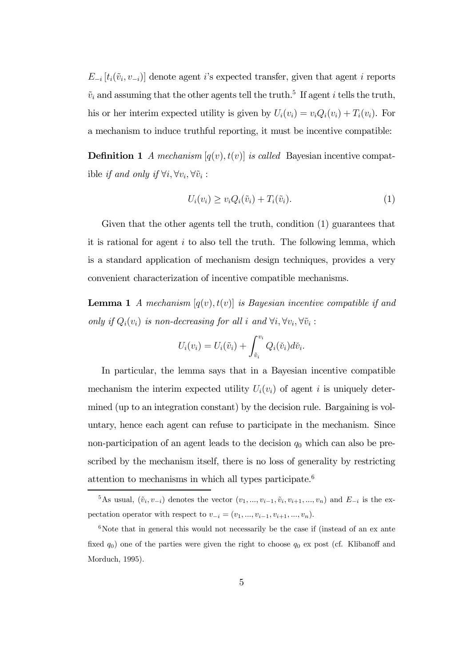$E_{-i}\left[t_i(\tilde{v}_i, v_{-i})\right]$  denote agent *i*'s expected transfer, given that agent *i* reports  $\tilde{v}_i$  and assuming that the other agents tell the truth.<sup>5</sup> If agent *i* tells the truth, his or her interim expected utility is given by  $U_i(v_i) = v_i Q_i(v_i) + T_i(v_i)$ . For a mechanism to induce truthful reporting, it must be incentive compatible:

**Definition 1** *A mechanism*  $[q(v), t(v)]$  *is called* Bayesian incentive compatible *if and only if*  $\forall i, \forall v_i, \forall \tilde{v}_i$ :

$$
U_i(v_i) \ge v_i Q_i(\tilde{v}_i) + T_i(\tilde{v}_i). \tag{1}
$$

Given that the other agents tell the truth, condition (1) guarantees that it is rational for agent  $i$  to also tell the truth. The following lemma, which is a standard application of mechanism design techniques, provides a very convenient characterization of incentive compatible mechanisms.

**Lemma 1** *A mechanism*  $[q(v), t(v)]$  *is Bayesian incentive compatible if and only if*  $Q_i(v_i)$  *is non-decreasing for all i and*  $\forall i, \forall v_i, \forall \tilde{v}_i$ :

$$
U_i(v_i) = U_i(\tilde{v}_i) + \int_{\tilde{v}_i}^{v_i} Q_i(\tilde{v}_i) d\tilde{v}_i.
$$

In particular, the lemma says that in a Bayesian incentive compatible mechanism the interim expected utility  $U_i(v_i)$  of agent i is uniquely determined (up to an integration constant) by the decision rule. Bargaining is voluntary, hence each agent can refuse to participate in the mechanism. Since non-participation of an agent leads to the decision  $q_0$  which can also be prescribed by the mechanism itself, there is no loss of generality by restricting attention to mechanisms in which all types participate.<sup>6</sup>

<sup>&</sup>lt;sup>5</sup>As usual,  $(\tilde{v}_i, v_{-i})$  denotes the vector  $(v_1, ..., v_{i-1}, \tilde{v}_i, v_{i+1}, ..., v_n)$  and  $E_{-i}$  is the expectation operator with respect to  $v_{-i} = (v_1, ..., v_{i-1}, v_{i+1}, ..., v_n)$ .

 $6$ Note that in general this would not necessarily be the case if (instead of an ex ante fixed  $q_0$ ) one of the parties were given the right to choose  $q_0$  ex post (cf. Klibanoff and Morduch, 1995).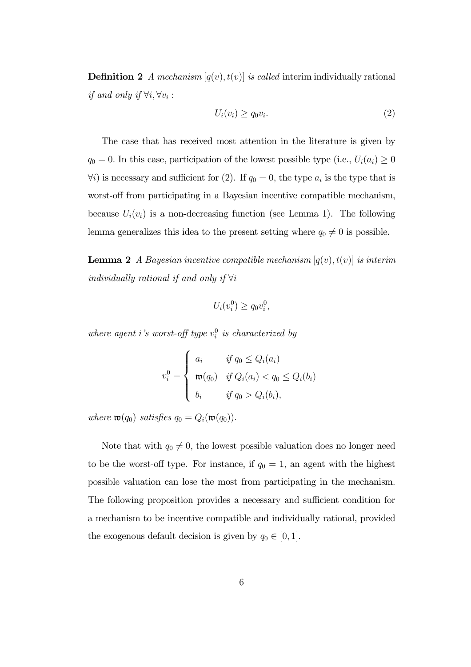**Definition 2** *A mechanism*  $[q(v), t(v)]$  *is called* interim individually rational *if and only if*  $\forall i, \forall v_i$ :

$$
U_i(v_i) \ge q_0 v_i. \tag{2}
$$

The case that has received most attention in the literature is given by  $q_0 = 0$ . In this case, participation of the lowest possible type (i.e.,  $U_i(a_i) \geq 0$  $\forall i$ ) is necessary and sufficient for (2). If  $q_0 = 0$ , the type  $a_i$  is the type that is worst-off from participating in a Bayesian incentive compatible mechanism, because  $U_i(v_i)$  is a non-decreasing function (see Lemma 1). The following lemma generalizes this idea to the present setting where  $q_0 \neq 0$  is possible.

**Lemma 2** *A Bayesian incentive compatible mechanism*  $[q(v), t(v)]$  *is interim individually rational if and only if* ∀i

$$
U_i(v_i^0) \ge q_0 v_i^0,
$$

*where agent i's worst-off type*  $v_i^0$  *is characterized by* 

$$
v_i^0 = \begin{cases} a_i & \text{if } q_0 \le Q_i(a_i) \\ \mathfrak{w}(q_0) & \text{if } Q_i(a_i) < q_0 \le Q_i(b_i) \\ b_i & \text{if } q_0 > Q_i(b_i), \end{cases}
$$

*where*  $\mathfrak{w}(q_0)$  *satisfies*  $q_0 = Q_i(\mathfrak{w}(q_0)).$ 

Note that with  $q_0 \neq 0$ , the lowest possible valuation does no longer need to be the worst-off type. For instance, if  $q_0 = 1$ , an agent with the highest possible valuation can lose the most from participating in the mechanism. The following proposition provides a necessary and sufficient condition for a mechanism to be incentive compatible and individually rational, provided the exogenous default decision is given by  $q_0 \in [0, 1]$ .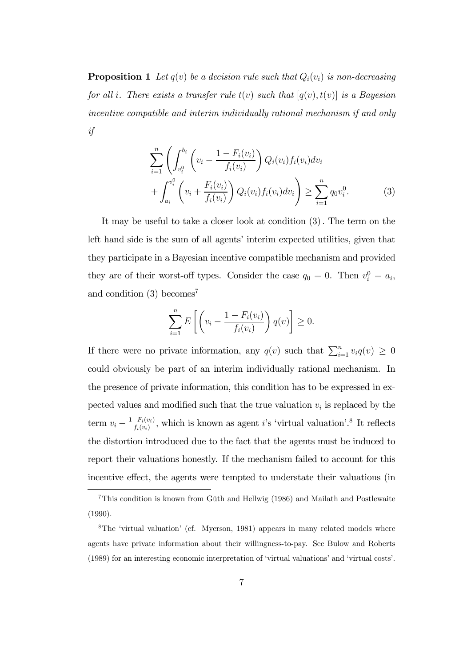**Proposition 1** Let  $q(v)$  be a decision rule such that  $Q_i(v_i)$  is non-decreasing *for all* i*. There exists a transfer rule* t(v) *such that* [q(v), t(v)] *is a Bayesian incentive compatible and interim individually rational mechanism if and only if*

$$
\sum_{i=1}^{n} \left( \int_{v_i^0}^{b_i} \left( v_i - \frac{1 - F_i(v_i)}{f_i(v_i)} \right) Q_i(v_i) f_i(v_i) dv_i + \int_{a_i}^{v_i^0} \left( v_i + \frac{F_i(v_i)}{f_i(v_i)} \right) Q_i(v_i) f_i(v_i) dv_i \right) \ge \sum_{i=1}^{n} q_0 v_i^0.
$$
\n(3)

It may be useful to take a closer look at condition (3). The term on the left hand side is the sum of all agents' interim expected utilities, given that they participate in a Bayesian incentive compatible mechanism and provided they are of their worst-off types. Consider the case  $q_0 = 0$ . Then  $v_i^0 = a_i$ , and condition  $(3)$  becomes<sup>7</sup>

$$
\sum_{i=1}^{n} E\left[\left(v_i - \frac{1 - F_i(v_i)}{f_i(v_i)}\right)q(v)\right] \ge 0.
$$

If there were no private information, any  $q(v)$  such that  $\sum_{i=1}^{n} v_i q(v) \geq 0$ could obviously be part of an interim individually rational mechanism. In the presence of private information, this condition has to be expressed in expected values and modified such that the true valuation  $v_i$  is replaced by the term  $v_i - \frac{1 - F_i(v_i)}{f_i(v_i)}$  $\frac{-F_i(v_i)}{f_i(v_i)}$ , which is known as agent *i*'s 'virtual valuation'.<sup>8</sup> It reflects the distortion introduced due to the fact that the agents must be induced to report their valuations honestly. If the mechanism failed to account for this incentive effect, the agents were tempted to understate their valuations (in

<sup>7</sup>This condition is known from Güth and Hellwig (1986) and Mailath and Postlewaite (1990).

<sup>8</sup>The 'virtual valuation' (cf. Myerson, 1981) appears in many related models where agents have private information about their willingness-to-pay. See Bulow and Roberts (1989) for an interesting economic interpretation of 'virtual valuations' and 'virtual costs'.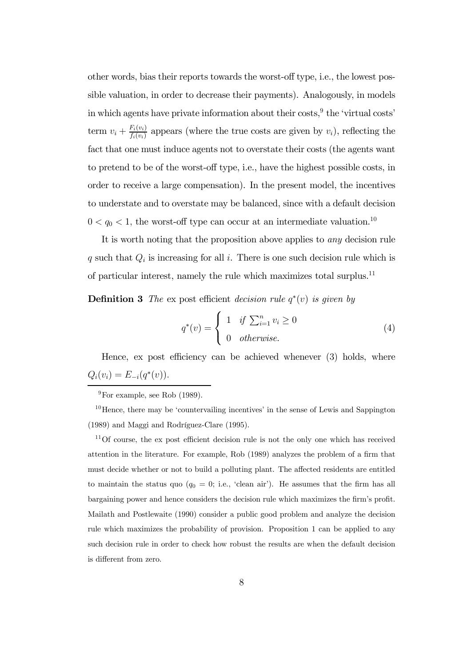other words, bias their reports towards the worst-off type, i.e., the lowest possible valuation, in order to decrease their payments). Analogously, in models in which agents have private information about their  $\cos\! s$ ,  $\theta$  the 'virtual costs' term  $v_i + \frac{F_i(v_i)}{f_i(v_i)}$  $\frac{F_i(v_i)}{f_i(v_i)}$  appears (where the true costs are given by  $v_i$ ), reflecting the fact that one must induce agents not to overstate their costs (the agents want to pretend to be of the worst-off type, i.e., have the highest possible costs, in order to receive a large compensation). In the present model, the incentives to understate and to overstate may be balanced, since with a default decision  $0 < q_0 < 1$ , the worst-off type can occur at an intermediate valuation.<sup>10</sup>

It is worth noting that the proposition above applies to *any* decision rule q such that  $Q_i$  is increasing for all i. There is one such decision rule which is of particular interest, namely the rule which maximizes total surplus.<sup>11</sup>

**Definition 3** *The* expost efficient *decision rule*  $q^*(v)$  *is given by* 

$$
q^*(v) = \begin{cases} 1 & \text{if } \sum_{i=1}^n v_i \ge 0 \\ 0 & \text{otherwise.} \end{cases}
$$
 (4)

Hence, ex post efficiency can be achieved whenever (3) holds, where  $Q_i(v_i) = E_{-i}(q^*(v)).$ 

<sup>10</sup>Hence, there may be 'countervailing incentives' in the sense of Lewis and Sappington (1989) and Maggi and Rodríguez-Clare (1995).

<sup>11</sup>Of course, the ex post efficient decision rule is not the only one which has received attention in the literature. For example, Rob (1989) analyzes the problem of a firm that must decide whether or not to build a polluting plant. The affected residents are entitled to maintain the status quo  $(q_0 = 0; i.e., 'clean air')$ . He assumes that the firm has all bargaining power and hence considers the decision rule which maximizes the firm's profit. Mailath and Postlewaite (1990) consider a public good problem and analyze the decision rule which maximizes the probability of provision. Proposition 1 can be applied to any such decision rule in order to check how robust the results are when the default decision is different from zero.

 $^{9}$ For example, see Rob (1989).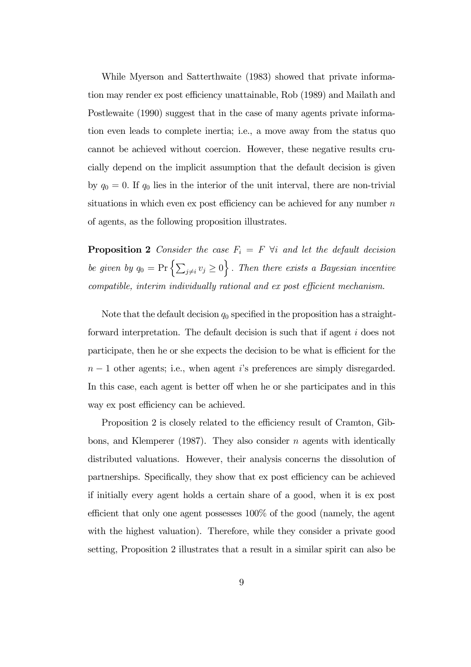While Myerson and Satterthwaite (1983) showed that private information may render ex post efficiency unattainable, Rob (1989) and Mailath and Postlewaite (1990) suggest that in the case of many agents private information even leads to complete inertia; i.e., a move away from the status quo cannot be achieved without coercion. However, these negative results crucially depend on the implicit assumption that the default decision is given by  $q_0 = 0$ . If  $q_0$  lies in the interior of the unit interval, there are non-trivial situations in which even ex post efficiency can be achieved for any number  $n$ of agents, as the following proposition illustrates.

**Proposition 2** *Consider the case*  $F_i = F \forall i$  *and let the default decision* be given by  $q_0 = \Pr\left\{\sum_{j\neq i} v_j \geq 0\right\}$ . *Then there exists a Bayesian incentive compatible, interim individually rational and ex post e*ffi*cient mechanism.*

Note that the default decision  $q_0$  specified in the proposition has a straightforward interpretation. The default decision is such that if agent i does not participate, then he or she expects the decision to be what is efficient for the  $n-1$  other agents; i.e., when agent i's preferences are simply disregarded. In this case, each agent is better off when he or she participates and in this way ex post efficiency can be achieved.

Proposition 2 is closely related to the efficiency result of Cramton, Gibbons, and Klemperer (1987). They also consider n agents with identically distributed valuations. However, their analysis concerns the dissolution of partnerships. Specifically, they show that ex post efficiency can be achieved if initially every agent holds a certain share of a good, when it is ex post efficient that only one agent possesses 100% of the good (namely, the agent with the highest valuation). Therefore, while they consider a private good setting, Proposition 2 illustrates that a result in a similar spirit can also be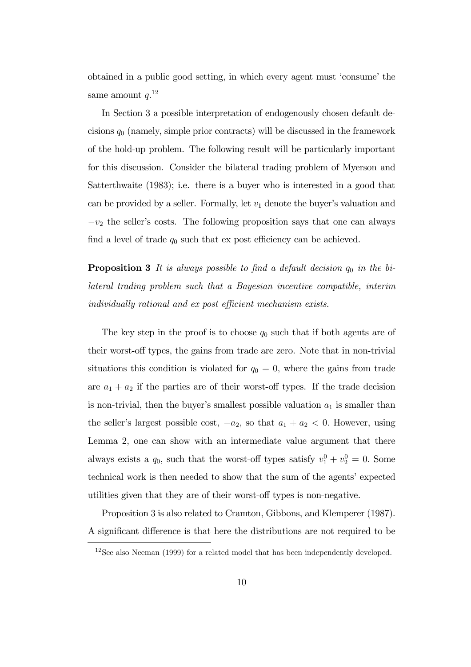obtained in a public good setting, in which every agent must 'consume' the same amount  $q^{12}$ 

In Section 3 a possible interpretation of endogenously chosen default decisions  $q_0$  (namely, simple prior contracts) will be discussed in the framework of the hold-up problem. The following result will be particularly important for this discussion. Consider the bilateral trading problem of Myerson and Satterthwaite (1983); i.e. there is a buyer who is interested in a good that can be provided by a seller. Formally, let  $v_1$  denote the buyer's valuation and  $-v_2$  the seller's costs. The following proposition says that one can always find a level of trade  $q_0$  such that ex post efficiency can be achieved.

**Proposition 3** It is always possible to find a default decision  $q_0$  in the bi*lateral trading problem such that a Bayesian incentive compatible, interim individually rational and ex post efficient mechanism exists.* 

The key step in the proof is to choose  $q_0$  such that if both agents are of their worst-off types, the gains from trade are zero. Note that in non-trivial situations this condition is violated for  $q_0 = 0$ , where the gains from trade are  $a_1 + a_2$  if the parties are of their worst-off types. If the trade decision is non-trivial, then the buyer's smallest possible valuation  $a_1$  is smaller than the seller's largest possible cost,  $-a_2$ , so that  $a_1 + a_2 < 0$ . However, using Lemma 2, one can show with an intermediate value argument that there always exists a  $q_0$ , such that the worst-off types satisfy  $v_1^0 + v_2^0 = 0$ . Some technical work is then needed to show that the sum of the agents' expected utilities given that they are of their worst-off types is non-negative.

Proposition 3 is also related to Cramton, Gibbons, and Klemperer (1987). A significant difference is that here the distributions are not required to be

<sup>&</sup>lt;sup>12</sup>See also Neeman (1999) for a related model that has been independently developed.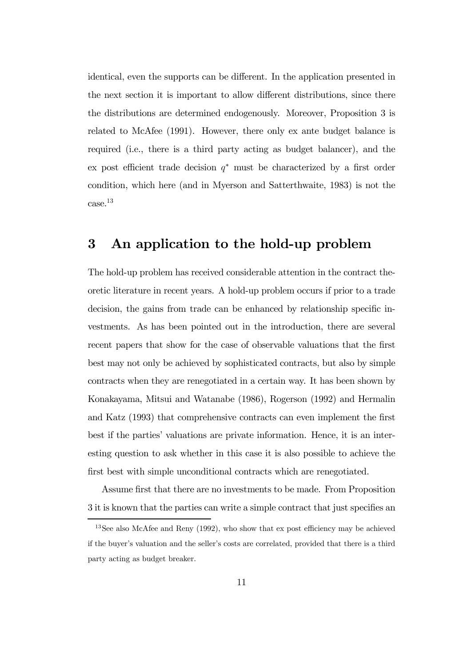identical, even the supports can be different. In the application presented in the next section it is important to allow different distributions, since there the distributions are determined endogenously. Moreover, Proposition 3 is related to McAfee (1991). However, there only ex ante budget balance is required (i.e., there is a third party acting as budget balancer), and the ex post efficient trade decision  $q^*$  must be characterized by a first order condition, which here (and in Myerson and Satterthwaite, 1983) is not the case.<sup>13</sup>

## 3 An application to the hold-up problem

The hold-up problem has received considerable attention in the contract theoretic literature in recent years. A hold-up problem occurs if prior to a trade decision, the gains from trade can be enhanced by relationship specific investments. As has been pointed out in the introduction, there are several recent papers that show for the case of observable valuations that the first best may not only be achieved by sophisticated contracts, but also by simple contracts when they are renegotiated in a certain way. It has been shown by Konakayama, Mitsui and Watanabe (1986), Rogerson (1992) and Hermalin and Katz (1993) that comprehensive contracts can even implement the first best if the parties' valuations are private information. Hence, it is an interesting question to ask whether in this case it is also possible to achieve the first best with simple unconditional contracts which are renegotiated.

Assume first that there are no investments to be made. From Proposition 3 it is known that the parties can write a simple contract that just specifies an

<sup>&</sup>lt;sup>13</sup>See also McAfee and Reny (1992), who show that ex post efficiency may be achieved if the buyer's valuation and the seller's costs are correlated, provided that there is a third party acting as budget breaker.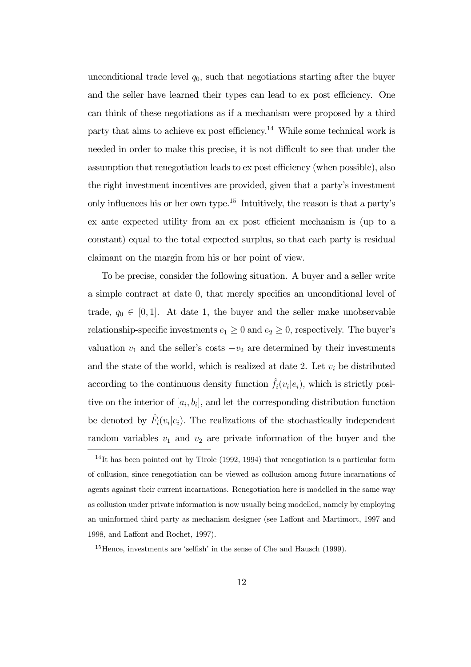unconditional trade level  $q_0$ , such that negotiations starting after the buyer and the seller have learned their types can lead to ex post efficiency. One can think of these negotiations as if a mechanism were proposed by a third party that aims to achieve  $\exp(\cos 14)$  While some technical work is needed in order to make this precise, it is not difficult to see that under the assumption that renegotiation leads to ex post efficiency (when possible), also the right investment incentives are provided, given that a party's investment only influences his or her own type.<sup>15</sup> Intuitively, the reason is that a party's ex ante expected utility from an ex post efficient mechanism is (up to a constant) equal to the total expected surplus, so that each party is residual claimant on the margin from his or her point of view.

To be precise, consider the following situation. A buyer and a seller write a simple contract at date 0, that merely specifies an unconditional level of trade,  $q_0 \in [0,1]$ . At date 1, the buyer and the seller make unobservable relationship-specific investments  $e_1 \geq 0$  and  $e_2 \geq 0$ , respectively. The buyer's valuation  $v_1$  and the seller's costs  $-v_2$  are determined by their investments and the state of the world, which is realized at date 2. Let  $v_i$  be distributed according to the continuous density function  $\hat{f}_i(v_i|e_i)$ , which is strictly positive on the interior of  $[a_i, b_i]$ , and let the corresponding distribution function be denoted by  $\hat{F}_i(v_i|e_i)$ . The realizations of the stochastically independent random variables  $v_1$  and  $v_2$  are private information of the buyer and the

 $14$ It has been pointed out by Tirole (1992, 1994) that renegotiation is a particular form of collusion, since renegotiation can be viewed as collusion among future incarnations of agents against their current incarnations. Renegotiation here is modelled in the same way as collusion under private information is now usually being modelled, namely by employing an uninformed third party as mechanism designer (see Laffont and Martimort, 1997 and 1998, and Laffont and Rochet, 1997).

<sup>&</sup>lt;sup>15</sup>Hence, investments are 'selfish' in the sense of Che and Hausch (1999).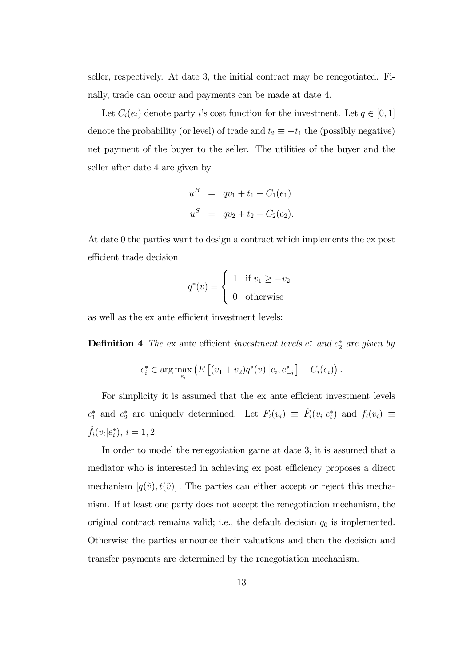seller, respectively. At date 3, the initial contract may be renegotiated. Finally, trade can occur and payments can be made at date 4.

Let  $C_i(e_i)$  denote party i's cost function for the investment. Let  $q \in [0,1]$ denote the probability (or level) of trade and  $t_2 \equiv -t_1$  the (possibly negative) net payment of the buyer to the seller. The utilities of the buyer and the seller after date 4 are given by

$$
u^B = qv_1 + t_1 - C_1(e_1)
$$
  

$$
u^S = qv_2 + t_2 - C_2(e_2).
$$

At date 0 the parties want to design a contract which implements the ex post efficient trade decision

$$
q^*(v) = \begin{cases} 1 & \text{if } v_1 \ge -v_2 \\ 0 & \text{otherwise} \end{cases}
$$

as well as the ex ante efficient investment levels:

**Definition 4** The ex ante efficient *investment levels*  $e_1^*$  *and*  $e_2^*$  *are given by* 

$$
e_i^* \in \arg\max_{e_i} \left( E \left[ (v_1 + v_2) q^*(v) \, \middle| \, e_i, e_{-i}^* \right] - C_i(e_i) \right).
$$

For simplicity it is assumed that the ex ante efficient investment levels  $e_1^*$  and  $e_2^*$  are uniquely determined. Let  $F_i(v_i) \equiv \hat{F}_i(v_i|e_i^*)$  and  $f_i(v_i) \equiv$  $\hat{f}_i(v_i|e_i^*), i = 1, 2.$ 

In order to model the renegotiation game at date 3, it is assumed that a mediator who is interested in achieving ex post efficiency proposes a direct mechanism  $[q(\tilde{v}), t(\tilde{v})]$ . The parties can either accept or reject this mechanism. If at least one party does not accept the renegotiation mechanism, the original contract remains valid; i.e., the default decision  $q_0$  is implemented. Otherwise the parties announce their valuations and then the decision and transfer payments are determined by the renegotiation mechanism.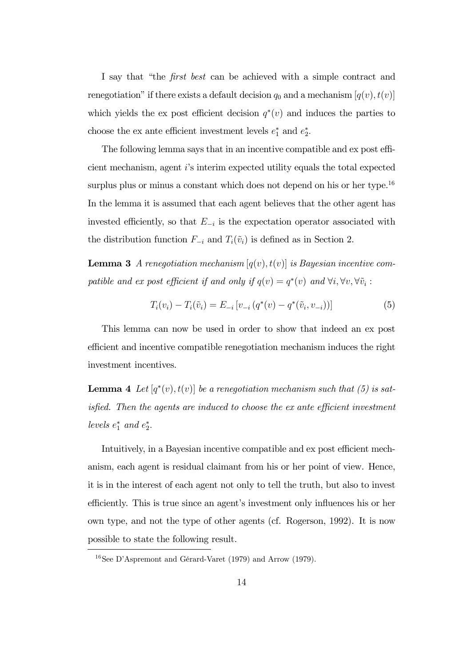I say that "the fi*rst best* can be achieved with a simple contract and renegotiation" if there exists a default decision  $q_0$  and a mechanism  $[q(v), t(v)]$ which yields the ex post efficient decision  $q^*(v)$  and induces the parties to choose the ex ante efficient investment levels  $e_1^*$  and  $e_2^*$ .

The following lemma says that in an incentive compatible and ex post efficient mechanism, agent i's interim expected utility equals the total expected surplus plus or minus a constant which does not depend on his or her type.<sup>16</sup> In the lemma it is assumed that each agent believes that the other agent has invested efficiently, so that  $E_{-i}$  is the expectation operator associated with the distribution function  $F_{-i}$  and  $T_i(\tilde{v}_i)$  is defined as in Section 2.

**Lemma 3** *A renegotiation mechanism*  $[q(v), t(v)]$  *is Bayesian incentive com*patible and ex post efficient if and only if  $q(v) = q^*(v)$  and  $\forall i, \forall v, \forall \tilde{v}_i$ :

$$
T_i(v_i) - T_i(\tilde{v}_i) = E_{-i} \left[ v_{-i} \left( q^*(v) - q^*(\tilde{v}_i, v_{-i}) \right) \right]
$$
 (5)

This lemma can now be used in order to show that indeed an ex post efficient and incentive compatible renegotiation mechanism induces the right investment incentives.

**Lemma 4** Let  $[q^*(v), t(v)]$  be a renegotiation mechanism such that (5) is sat*isfied. Then the agents are induced to choose the ex ante efficient investment* levels  $e_1^*$  and  $e_2^*$ .

Intuitively, in a Bayesian incentive compatible and ex post efficient mechanism, each agent is residual claimant from his or her point of view. Hence, it is in the interest of each agent not only to tell the truth, but also to invest efficiently. This is true since an agent's investment only influences his or her own type, and not the type of other agents (cf. Rogerson, 1992). It is now possible to state the following result.

<sup>16</sup>See D'Aspremont and Gérard-Varet (1979) and Arrow (1979).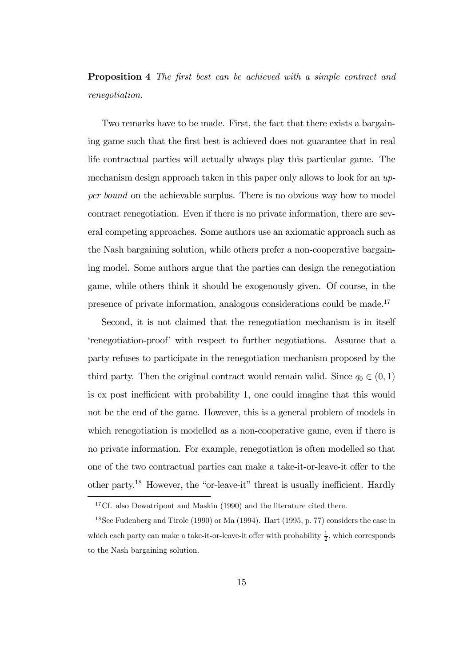## Proposition 4 *The* fi*rst best can be achieved with a simple contract and renegotiation.*

Two remarks have to be made. First, the fact that there exists a bargaining game such that the first best is achieved does not guarantee that in real life contractual parties will actually always play this particular game. The mechanism design approach taken in this paper only allows to look for an *upper bound* on the achievable surplus. There is no obvious way how to model contract renegotiation. Even if there is no private information, there are several competing approaches. Some authors use an axiomatic approach such as the Nash bargaining solution, while others prefer a non-cooperative bargaining model. Some authors argue that the parties can design the renegotiation game, while others think it should be exogenously given. Of course, in the presence of private information, analogous considerations could be made.<sup>17</sup>

Second, it is not claimed that the renegotiation mechanism is in itself 'renegotiation-proof' with respect to further negotiations. Assume that a party refuses to participate in the renegotiation mechanism proposed by the third party. Then the original contract would remain valid. Since  $q_0 \in (0, 1)$ is ex post inefficient with probability 1, one could imagine that this would not be the end of the game. However, this is a general problem of models in which renegotiation is modelled as a non-cooperative game, even if there is no private information. For example, renegotiation is often modelled so that one of the two contractual parties can make a take-it-or-leave-it offer to the other party.<sup>18</sup> However, the "or-leave-it" threat is usually inefficient. Hardly

<sup>&</sup>lt;sup>17</sup>Cf. also Dewatripont and Maskin (1990) and the literature cited there.

<sup>&</sup>lt;sup>18</sup>See Fudenberg and Tirole (1990) or Ma (1994). Hart (1995, p. 77) considers the case in which each party can make a take-it-or-leave-it offer with probability  $\frac{1}{2}$ , which corresponds to the Nash bargaining solution.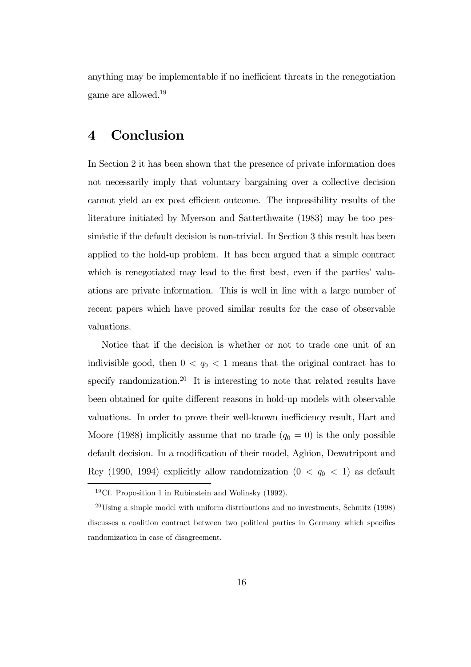anything may be implementable if no inefficient threats in the renegotiation game are allowed.<sup>19</sup>

## 4 Conclusion

In Section 2 it has been shown that the presence of private information does not necessarily imply that voluntary bargaining over a collective decision cannot yield an ex post efficient outcome. The impossibility results of the literature initiated by Myerson and Satterthwaite (1983) may be too pessimistic if the default decision is non-trivial. In Section 3 this result has been applied to the hold-up problem. It has been argued that a simple contract which is renegotiated may lead to the first best, even if the parties' valuations are private information. This is well in line with a large number of recent papers which have proved similar results for the case of observable valuations.

Notice that if the decision is whether or not to trade one unit of an indivisible good, then  $0 < q_0 < 1$  means that the original contract has to specify randomization.<sup>20</sup> It is interesting to note that related results have been obtained for quite different reasons in hold-up models with observable valuations. In order to prove their well-known inefficiency result, Hart and Moore (1988) implicitly assume that no trade  $(q_0 = 0)$  is the only possible default decision. In a modification of their model, Aghion, Dewatripont and Rey (1990, 1994) explicitly allow randomization  $(0 < q_0 < 1)$  as default

<sup>&</sup>lt;sup>19</sup>Cf. Proposition 1 in Rubinstein and Wolinsky  $(1992)$ .

<sup>20</sup>Using a simple model with uniform distributions and no investments, Schmitz (1998) discusses a coalition contract between two political parties in Germany which specifies randomization in case of disagreement.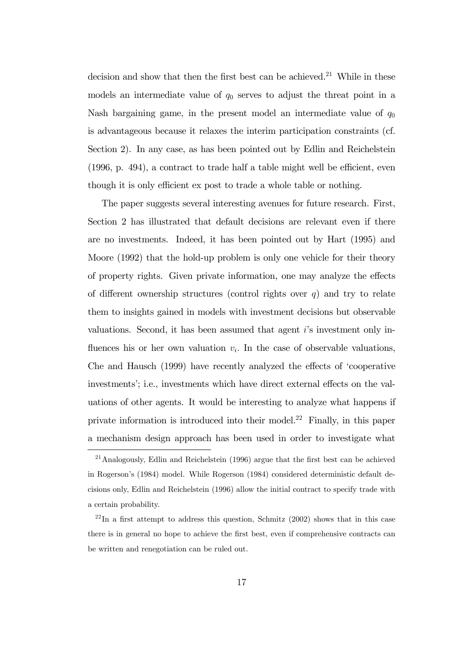decision and show that then the first best can be achieved.<sup>21</sup> While in these models an intermediate value of  $q_0$  serves to adjust the threat point in a Nash bargaining game, in the present model an intermediate value of  $q_0$ is advantageous because it relaxes the interim participation constraints (cf. Section 2). In any case, as has been pointed out by Edlin and Reichelstein (1996, p. 494), a contract to trade half a table might well be efficient, even though it is only efficient ex post to trade a whole table or nothing.

The paper suggests several interesting avenues for future research. First, Section 2 has illustrated that default decisions are relevant even if there are no investments. Indeed, it has been pointed out by Hart (1995) and Moore (1992) that the hold-up problem is only one vehicle for their theory of property rights. Given private information, one may analyze the effects of different ownership structures (control rights over  $q$ ) and try to relate them to insights gained in models with investment decisions but observable valuations. Second, it has been assumed that agent i's investment only influences his or her own valuation  $v_i$ . In the case of observable valuations, Che and Hausch (1999) have recently analyzed the effects of 'cooperative investments'; i.e., investments which have direct external effects on the valuations of other agents. It would be interesting to analyze what happens if private information is introduced into their model.<sup>22</sup> Finally, in this paper a mechanism design approach has been used in order to investigate what

<sup>&</sup>lt;sup>21</sup>Analogously, Edlin and Reichelstein (1996) argue that the first best can be achieved in Rogerson's (1984) model. While Rogerson (1984) considered deterministic default decisions only, Edlin and Reichelstein (1996) allow the initial contract to specify trade with a certain probability.

 $^{22}$ In a first attempt to address this question, Schmitz (2002) shows that in this case there is in general no hope to achieve the first best, even if comprehensive contracts can be written and renegotiation can be ruled out.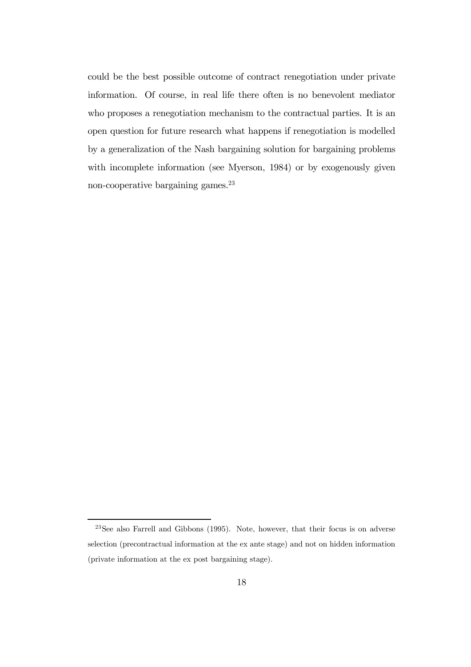could be the best possible outcome of contract renegotiation under private information. Of course, in real life there often is no benevolent mediator who proposes a renegotiation mechanism to the contractual parties. It is an open question for future research what happens if renegotiation is modelled by a generalization of the Nash bargaining solution for bargaining problems with incomplete information (see Myerson, 1984) or by exogenously given non-cooperative bargaining games.<sup>23</sup>

<sup>23</sup>See also Farrell and Gibbons (1995). Note, however, that their focus is on adverse selection (precontractual information at the ex ante stage) and not on hidden information (private information at the ex post bargaining stage).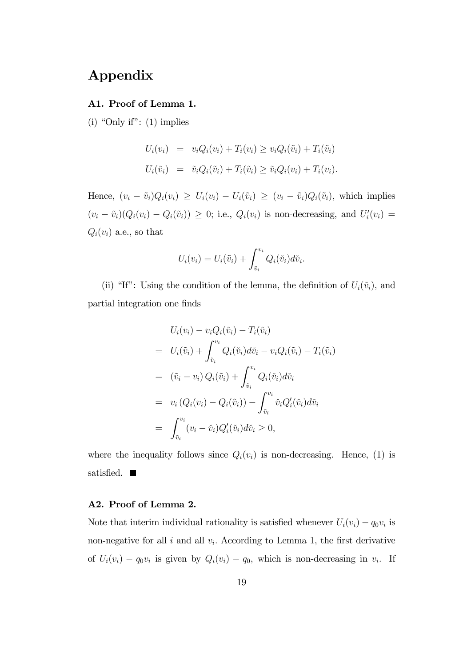## Appendix

#### A1. Proof of Lemma 1.

(i) "Only if":  $(1)$  implies

$$
U_i(v_i) = v_i Q_i(v_i) + T_i(v_i) \ge v_i Q_i(\tilde{v}_i) + T_i(\tilde{v}_i)
$$
  

$$
U_i(\tilde{v}_i) = \tilde{v}_i Q_i(\tilde{v}_i) + T_i(\tilde{v}_i) \ge \tilde{v}_i Q_i(v_i) + T_i(v_i).
$$

Hence,  $(v_i - \tilde{v}_i)Q_i(v_i) \ge U_i(v_i) - U_i(\tilde{v}_i) \ge (v_i - \tilde{v}_i)Q_i(\tilde{v}_i)$ , which implies  $(v_i - \tilde{v}_i)(Q_i(v_i) - Q_i(\tilde{v}_i)) \geq 0$ ; i.e.,  $Q_i(v_i)$  is non-decreasing, and  $U_i'(v_i) =$  $Q_i(v_i)$  a.e., so that

$$
U_i(v_i) = U_i(\tilde{v}_i) + \int_{\tilde{v}_i}^{v_i} Q_i(\tilde{v}_i) d\tilde{v}_i.
$$

(ii) "If": Using the condition of the lemma, the definition of  $U_i(\tilde{v}_i)$ , and partial integration one finds

$$
U_i(v_i) - v_i Q_i(\tilde{v}_i) - T_i(\tilde{v}_i)
$$
  
\n
$$
= U_i(\tilde{v}_i) + \int_{\tilde{v}_i}^{v_i} Q_i(\tilde{v}_i) d\tilde{v}_i - v_i Q_i(\tilde{v}_i) - T_i(\tilde{v}_i)
$$
  
\n
$$
= (\tilde{v}_i - v_i) Q_i(\tilde{v}_i) + \int_{\tilde{v}_i}^{v_i} Q_i(\tilde{v}_i) d\tilde{v}_i
$$
  
\n
$$
= v_i (Q_i(v_i) - Q_i(\tilde{v}_i)) - \int_{\tilde{v}_i}^{v_i} \tilde{v}_i Q_i'(\tilde{v}_i) d\tilde{v}_i
$$
  
\n
$$
= \int_{\tilde{v}_i}^{v_i} (v_i - \tilde{v}_i) Q_i'(\tilde{v}_i) d\tilde{v}_i \ge 0,
$$

where the inequality follows since  $Q_i(v_i)$  is non-decreasing. Hence, (1) is satisfied.  $\blacksquare$ 

#### A2. Proof of Lemma 2.

Note that interim individual rationality is satisfied whenever  $U_i(v_i) - q_0v_i$  is non-negative for all  $i$  and all  $v_i$ . According to Lemma 1, the first derivative of  $U_i(v_i) - q_0v_i$  is given by  $Q_i(v_i) - q_0$ , which is non-decreasing in  $v_i$ . If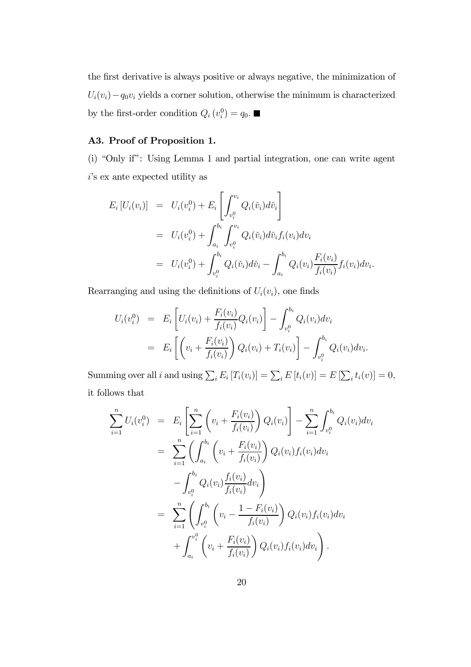the first derivative is always positive or always negative, the minimization of  $U_i(v_i) - q_0v_i$  yields a corner solution, otherwise the minimum is characterized by the first-order condition  $Q_i(v_i^0) = q_0$ .

#### A3. Proof of Proposition 1.

(i) "Only if": Using Lemma 1 and partial integration, one can write agent i's ex ante expected utility as

$$
E_i [U_i(v_i)] = U_i(v_i^0) + E_i \left[ \int_{v_i^0}^{v_i} Q_i(\check{v}_i) d\check{v}_i \right]
$$
  
\n
$$
= U_i(v_i^0) + \int_{a_i}^{b_i} \int_{v_i^0}^{v_i} Q_i(\check{v}_i) d\check{v}_i f_i(v_i) dv_i
$$
  
\n
$$
= U_i(v_i^0) + \int_{v_i^0}^{b_i} Q_i(\check{v}_i) d\check{v}_i - \int_{a_i}^{b_i} Q_i(v_i) \frac{F_i(v_i)}{f_i(v_i)} f_i(v_i) dv_i.
$$

Rearranging and using the definitions of  $U_i(v_i)$ , one finds

$$
U_i(v_i^0) = E_i \left[ U_i(v_i) + \frac{F_i(v_i)}{f_i(v_i)} Q_i(v_i) \right] - \int_{v_i^0}^{b_i} Q_i(v_i) dv_i
$$
  
= 
$$
E_i \left[ \left( v_i + \frac{F_i(v_i)}{f_i(v_i)} \right) Q_i(v_i) + T_i(v_i) \right] - \int_{v_i^0}^{b_i} Q_i(v_i) dv_i.
$$

Summing over all *i* and using  $\sum_i E_i [T_i(v_i)] = \sum_i E[t_i(v)] = E[\sum_i t_i(v)] = 0$ , it follows that

$$
\sum_{i=1}^{n} U_i(v_i^0) = E_i \left[ \sum_{i=1}^{n} \left( v_i + \frac{F_i(v_i)}{f_i(v_i)} \right) Q_i(v_i) \right] - \sum_{i=1}^{n} \int_{v_i^0}^{b_i} Q_i(v_i) dv_i
$$
  
\n
$$
= \sum_{i=1}^{n} \left( \int_{a_i}^{b_i} \left( v_i + \frac{F_i(v_i)}{f_i(v_i)} \right) Q_i(v_i) f_i(v_i) dv_i \right)
$$
  
\n
$$
- \int_{v_i^0}^{b_i} Q_i(v_i) \frac{f_i(v_i)}{f_i(v_i)} dv_i \right)
$$
  
\n
$$
= \sum_{i=1}^{n} \left( \int_{v_i^0}^{b_i} \left( v_i - \frac{1 - F_i(v_i)}{f_i(v_i)} \right) Q_i(v_i) f_i(v_i) dv_i + \int_{a_i}^{v_i^0} \left( v_i + \frac{F_i(v_i)}{f_i(v_i)} \right) Q_i(v_i) f_i(v_i) dv_i \right).
$$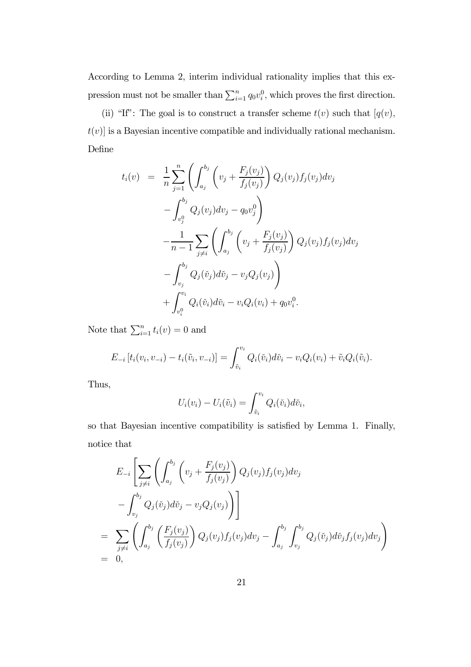According to Lemma 2, interim individual rationality implies that this expression must not be smaller than  $\sum_{i=1}^{n} q_0 v_i^0$ , which proves the first direction.

(ii) "If": The goal is to construct a transfer scheme  $t(v)$  such that  $[q(v)]$ ,  $t(v)$  is a Bayesian incentive compatible and individually rational mechanism. Define

$$
t_i(v) = \frac{1}{n} \sum_{j=1}^n \left( \int_{a_j}^{b_j} \left( v_j + \frac{F_j(v_j)}{f_j(v_j)} \right) Q_j(v_j) f_j(v_j) dv_j - \int_{v_j^0}^{b_j} Q_j(v_j) dv_j - q_0 v_j^0 \right) - \frac{1}{n-1} \sum_{j \neq i} \left( \int_{a_j}^{b_j} \left( v_j + \frac{F_j(v_j)}{f_j(v_j)} \right) Q_j(v_j) f_j(v_j) dv_j - \int_{v_j}^{b_j} Q_j(\check{v}_j) d\check{v}_j - v_j Q_j(v_j) \right) + \int_{v_i^0}^{v_i} Q_i(\check{v}_i) d\check{v}_i - v_i Q_i(v_i) + q_0 v_i^0.
$$

Note that  $\sum_{i=1}^{n} t_i(v) = 0$  and

$$
E_{-i}[t_i(v_i, v_{-i}) - t_i(\tilde{v}_i, v_{-i})] = \int_{\tilde{v}_i}^{v_i} Q_i(\tilde{v}_i) d\tilde{v}_i - v_i Q_i(v_i) + \tilde{v}_i Q_i(\tilde{v}_i).
$$

Thus,

$$
U_i(v_i) - U_i(\tilde{v}_i) = \int_{\tilde{v}_i}^{v_i} Q_i(\tilde{v}_i) d\tilde{v}_i,
$$

so that Bayesian incentive compatibility is satisfied by Lemma 1. Finally, notice that

$$
E_{-i}\left[\sum_{j\neq i}\left(\int_{a_j}^{b_j}\left(v_j+\frac{F_j(v_j)}{f_j(v_j)}\right)Q_j(v_j)f_j(v_j)dv_j\right.\right.- \int_{v_j}^{b_j}Q_j(\check{v}_j)d\check{v}_j-v_jQ_j(v_j)\right)\right]
$$
  
=\sum\_{j\neq i}\left(\int\_{a\_j}^{b\_j}\left(\frac{F\_j(v\_j)}{f\_j(v\_j)}\right)Q\_j(v\_j)f\_j(v\_j)dv\_j-\int\_{a\_j}^{b\_j}\int\_{v\_j}^{b\_j}Q\_j(\check{v}\_j)d\check{v}\_jf\_j(v\_j)dv\_j\right)  
= 0,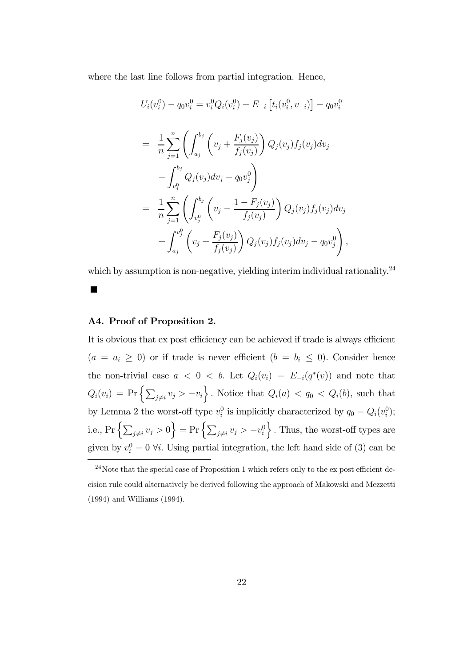where the last line follows from partial integration. Hence,

$$
U_i(v_i^0) - q_0v_i^0 = v_i^0 Q_i(v_i^0) + E_{-i} [t_i(v_i^0, v_{-i})] - q_0v_i^0
$$
  
\n
$$
= \frac{1}{n} \sum_{j=1}^n \left( \int_{a_j}^{b_j} \left( v_j + \frac{F_j(v_j)}{f_j(v_j)} \right) Q_j(v_j) f_j(v_j) dv_j - \int_{v_j^0}^{b_j} Q_j(v_j) dv_j - q_0v_j^0 \right)
$$
  
\n
$$
= \frac{1}{n} \sum_{j=1}^n \left( \int_{v_j^0}^{b_j} \left( v_j - \frac{1 - F_j(v_j)}{f_j(v_j)} \right) Q_j(v_j) f_j(v_j) dv_j - \int_{a_j}^{b_j} \left( v_j + \frac{F_j(v_j)}{f_j(v_j)} \right) Q_j(v_j) f_j(v_j) dv_j - q_0v_j^0 \right),
$$

which by assumption is non-negative, yielding interim individual rationality.<sup>24</sup>

#### A4. Proof of Proposition 2.

It is obvious that ex post efficiency can be achieved if trade is always efficient  $(a = a_i \geq 0)$  or if trade is never efficient  $(b = b_i \leq 0)$ . Consider hence the non-trivial case  $a < 0 < b$ . Let  $Q_i(v_i) = E_{-i}(q^*(v))$  and note that  $Q_i(v_i) = \Pr\left\{\sum_{j\neq i} v_j > -v_i\right\}$ . Notice that  $Q_i(a) < q_0 < Q_i(b)$ , such that by Lemma 2 the worst-off type  $v_i^0$  is implicitly characterized by  $q_0 = Q_i(v_i^0);$ i.e., Pr $\left\{\sum_{j\neq i}v_j>0\right\}$  = Pr $\left\{\sum_{j\neq i}v_j>-v_i^0\right\}$  $\}$ . Thus, the worst-off types are given by  $v_i^0 = 0$   $\forall i$ . Using partial integration, the left hand side of (3) can be

<sup>&</sup>lt;sup>24</sup>Note that the special case of Proposition 1 which refers only to the ex post efficient decision rule could alternatively be derived following the approach of Makowski and Mezzetti (1994) and Williams (1994).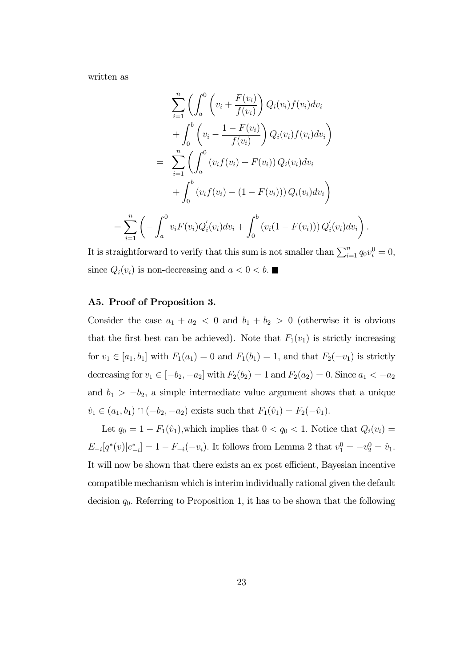written as

$$
\sum_{i=1}^{n} \left( \int_{a}^{0} \left( v_{i} + \frac{F(v_{i})}{f(v_{i})} \right) Q_{i}(v_{i}) f(v_{i}) dv_{i} + \int_{0}^{b} \left( v_{i} - \frac{1 - F(v_{i})}{f(v_{i})} \right) Q_{i}(v_{i}) f(v_{i}) dv_{i} \right)
$$
  

$$
= \sum_{i=1}^{n} \left( \int_{a}^{0} \left( v_{i} f(v_{i}) + F(v_{i}) \right) Q_{i}(v_{i}) dv_{i} + \int_{0}^{b} \left( v_{i} f(v_{i}) - (1 - F(v_{i})) \right) Q_{i}(v_{i}) dv_{i} \right)
$$
  

$$
= \sum_{i=1}^{n} \left( - \int_{a}^{0} v_{i} F(v_{i}) Q_{i}'(v_{i}) dv_{i} + \int_{0}^{b} \left( v_{i} (1 - F(v_{i})) \right) Q_{i}'(v_{i}) dv_{i} \right)
$$

It is straightforward to verify that this sum is not smaller than  $\sum_{i=1}^{n} q_0 v_i^0 = 0$ , since  $Q_i(v_i)$  is non-decreasing and  $a < 0 < b$ .

.

#### A5. Proof of Proposition 3.

Consider the case  $a_1 + a_2 < 0$  and  $b_1 + b_2 > 0$  (otherwise it is obvious that the first best can be achieved). Note that  $F_1(v_1)$  is strictly increasing for  $v_1 \in [a_1, b_1]$  with  $F_1(a_1)=0$  and  $F_1(b_1)=1$ , and that  $F_2(-v_1)$  is strictly decreasing for  $v_1 \in [-b_2, -a_2]$  with  $F_2(b_2) = 1$  and  $F_2(a_2) = 0$ . Since  $a_1 < -a_2$ and  $b_1 > -b_2$ , a simple intermediate value argument shows that a unique  $\hat{v}_1 \in (a_1, b_1) \cap (-b_2, -a_2)$  exists such that  $F_1(\hat{v}_1) = F_2(-\hat{v}_1)$ .

Let  $q_0 = 1 - F_1(\hat{v}_1)$ , which implies that  $0 < q_0 < 1$ . Notice that  $Q_i(v_i) =$  $E_{-i}[q^*(v)|e_{-i}^*]=1-F_{-i}(-v_i)$ . It follows from Lemma 2 that  $v_1^0=-v_2^0=\hat{v}_1$ . It will now be shown that there exists an ex post efficient, Bayesian incentive compatible mechanism which is interim individually rational given the default decision  $q_0$ . Referring to Proposition 1, it has to be shown that the following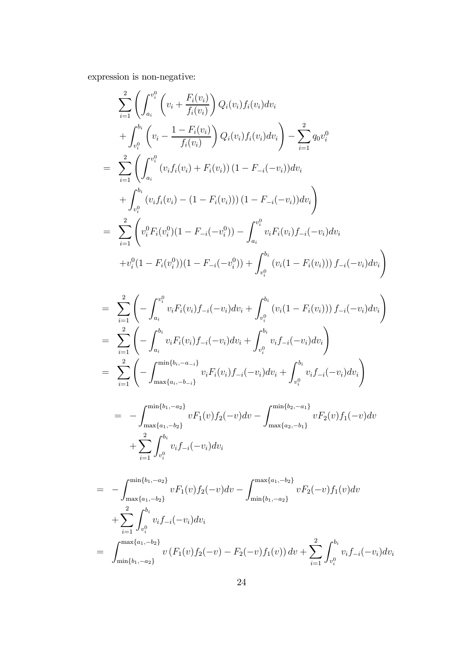expression is non-negative:

$$
\sum_{i=1}^{2} \left( \int_{a_i}^{v_i^0} \left( v_i + \frac{F_i(v_i)}{f_i(v_i)} \right) Q_i(v_i) f_i(v_i) dv_i + \int_{v_i^0}^{b_i} \left( v_i - \frac{1 - F_i(v_i)}{f_i(v_i)} \right) Q_i(v_i) f_i(v_i) dv_i \right) - \sum_{i=1}^{2} q_0 v_i^0
$$
\n
$$
= \sum_{i=1}^{2} \left( \int_{a_i}^{v_i^0} \left( v_i f_i(v_i) + F_i(v_i) \right) (1 - F_{-i}(-v_i)) dv_i + \int_{v_i^0}^{b_i} \left( v_i f_i(v_i) - (1 - F_i(v_i)) \right) (1 - F_{-i}(-v_i)) dv_i \right)
$$
\n
$$
= \sum_{i=1}^{2} \left( v_i^0 F_i(v_i^0) (1 - F_{-i}(-v_i^0)) - \int_{a_i}^{v_i^0} v_i F_i(v_i) f_{-i}(-v_i) dv_i + v_i^0 (1 - F_i(v_i^0)) (1 - F_{-i}(-v_i^0)) + \int_{v_i^0}^{b_i} \left( v_i (1 - F_i(v_i)) \right) f_{-i}(-v_i) dv_i \right)
$$

$$
= \sum_{i=1}^{2} \left( -\int_{a_i}^{v_i^0} v_i F_i(v_i) f_{-i}(-v_i) dv_i + \int_{v_i^0}^{b_i} (v_i (1 - F_i(v_i))) f_{-i}(-v_i) dv_i \right)
$$
  
\n
$$
= \sum_{i=1}^{2} \left( -\int_{a_i}^{b_i} v_i F_i(v_i) f_{-i}(-v_i) dv_i + \int_{v_i^0}^{b_i} v_i f_{-i}(-v_i) dv_i \right)
$$
  
\n
$$
= \sum_{i=1}^{2} \left( -\int_{\max\{a_i, -b_{-i}\}}^{\min\{b_i, -a_{-i}\}} v_i F_i(v_i) f_{-i}(-v_i) dv_i + \int_{v_i^0}^{b_i} v_i f_{-i}(-v_i) dv_i \right)
$$

$$
= - \int_{\max\{a_1, -b_2\}}^{\min\{b_1, -a_2\}} v F_1(v) f_2(-v) dv - \int_{\max\{a_2, -b_1\}}^{\min\{b_2, -a_1\}} v F_2(v) f_1(-v) dv
$$

$$
+ \sum_{i=1}^{2} \int_{v_i^0}^{b_i} v_i f_{-i}(-v_i) dv_i
$$

$$
= - \int_{\max\{a_1, -b_2\}}^{\min\{b_1, -a_2\}} v F_1(v) f_2(-v) dv - \int_{\min\{b_1, -a_2\}}^{\max\{a_1, -b_2\}} v F_2(-v) f_1(v) dv
$$
  
+ 
$$
\sum_{i=1}^{2} \int_{v_i^0}^{b_i} v_i f_{-i}(-v_i) dv_i
$$
  
= 
$$
\int_{\min\{b_1, -a_2\}}^{\max\{a_1, -b_2\}} v (F_1(v) f_2(-v) - F_2(-v) f_1(v)) dv + \sum_{i=1}^{2} \int_{v_i^0}^{b_i} v_i f_{-i}(-v_i) dv_i
$$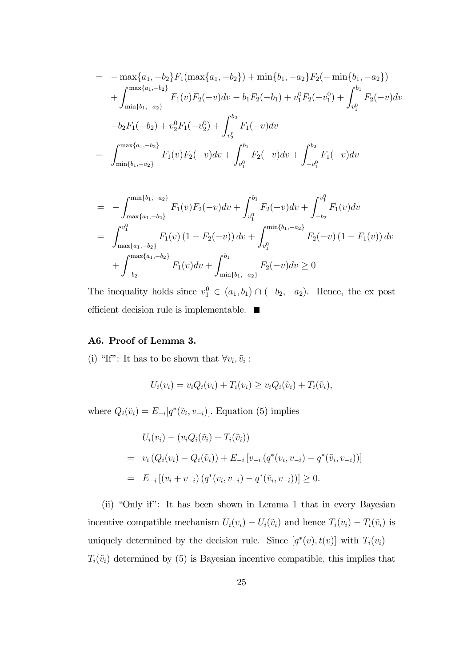$$
= -\max\{a_1, -b_2\}F_1(\max\{a_1, -b_2\}) + \min\{b_1, -a_2\}F_2(-\min\{b_1, -a_2\})
$$
  
+  $\int_{\min\{b_1, -a_2\}}^{\max\{a_1, -b_2\}} F_1(v)F_2(-v)dv - b_1F_2(-b_1) + v_1^0F_2(-v_1^0) + \int_{v_1^0}^{b_1} F_2(-v)dv$   
- $b_2F_1(-b_2) + v_2^0F_1(-v_2^0) + \int_{v_2^0}^{b_2} F_1(-v)dv$   
=  $\int_{\min\{b_1, -a_2\}}^{\max\{a_1, -b_2\}} F_1(v)F_2(-v)dv + \int_{v_1^0}^{b_1} F_2(-v)dv + \int_{-v_1^0}^{b_2} F_1(-v)dv$ 

$$
= - \int_{\max\{a_1, -b_2\}}^{\min\{b_1, -a_2\}} F_1(v) F_2(-v) dv + \int_{v_1^0}^{b_1} F_2(-v) dv + \int_{-b_2}^{v_1^0} F_1(v) dv
$$
  

$$
= \int_{\max\{a_1, -b_2\}}^{v_1^0} F_1(v) (1 - F_2(-v)) dv + \int_{v_1^0}^{\min\{b_1, -a_2\}} F_2(-v) (1 - F_1(v)) dv
$$
  

$$
+ \int_{-b_2}^{\max\{a_1, -b_2\}} F_1(v) dv + \int_{\min\{b_1, -a_2\}}^{b_1} F_2(-v) dv \ge 0
$$

The inequality holds since  $v_1^0 \in (a_1, b_1) \cap (-b_2, -a_2)$ . Hence, the ex post efficient decision rule is implementable.  $\blacksquare$ 

#### A6. Proof of Lemma 3.

(i) "If": It has to be shown that  $\forall v_i, \tilde{v}_i$ :

$$
U_i(v_i) = v_i Q_i(v_i) + T_i(v_i) \ge v_i Q_i(\tilde{v}_i) + T_i(\tilde{v}_i),
$$

where  $Q_i(\tilde{v}_i) = E_{-i}[q^*(\tilde{v}_i, v_{-i})]$ . Equation (5) implies

$$
U_i(v_i) - (v_i Q_i(\tilde{v}_i) + T_i(\tilde{v}_i))
$$
  
=  $v_i (Q_i(v_i) - Q_i(\tilde{v}_i)) + E_{-i} [v_{-i} (q^*(v_i, v_{-i}) - q^*(\tilde{v}_i, v_{-i}))]$   
=  $E_{-i} [(v_i + v_{-i}) (q^*(v_i, v_{-i}) - q^*(\tilde{v}_i, v_{-i}))] \ge 0.$ 

(ii) "Only if": It has been shown in Lemma 1 that in every Bayesian incentive compatible mechanism  $U_i(v_i) - U_i(\tilde{v}_i)$  and hence  $T_i(v_i) - T_i(\tilde{v}_i)$  is uniquely determined by the decision rule. Since  $[q^*(v), t(v)]$  with  $T_i(v_i)$  –  $T_i(\tilde{v}_i)$  determined by (5) is Bayesian incentive compatible, this implies that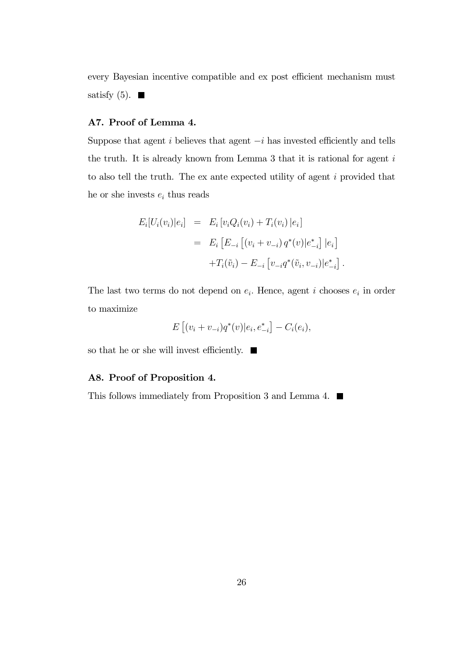every Bayesian incentive compatible and ex post efficient mechanism must satisfy (5).  $\blacksquare$ 

#### A7. Proof of Lemma 4.

Suppose that agent  $i$  believes that agent  $-i$  has invested efficiently and tells the truth. It is already known from Lemma 3 that it is rational for agent  $i$ to also tell the truth. The ex ante expected utility of agent i provided that he or she invests  $e_i$  thus reads

$$
E_i[U_i(v_i)|e_i] = E_i[v_iQ_i(v_i) + T_i(v_i)|e_i]
$$
  
= 
$$
E_i [E_{-i} [(v_i + v_{-i}) q^*(v)|e_{-i}^*] |e_i]
$$
  
+
$$
T_i(\tilde{v}_i) - E_{-i} [v_{-i} q^*(\tilde{v}_i, v_{-i})|e_{-i}^*].
$$

The last two terms do not depend on  $e_i$ . Hence, agent i chooses  $e_i$  in order to maximize

$$
E [(v_i + v_{-i})q^*(v)|e_i, e_{-i}^*] - C_i(e_i),
$$

so that he or she will invest efficiently.  $\blacksquare$ 

#### A8. Proof of Proposition 4.

This follows immediately from Proposition 3 and Lemma 4.  $\blacksquare$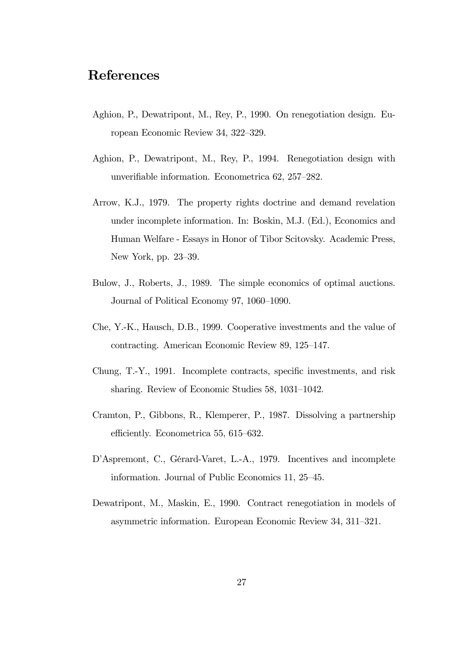## References

- Aghion, P., Dewatripont, M., Rey, P., 1990. On renegotiation design. European Economic Review 34, 322—329.
- Aghion, P., Dewatripont, M., Rey, P., 1994. Renegotiation design with unverifiable information. Econometrica 62, 257—282.
- Arrow, K.J., 1979. The property rights doctrine and demand revelation under incomplete information. In: Boskin, M.J. (Ed.), Economics and Human Welfare - Essays in Honor of Tibor Scitovsky. Academic Press, New York, pp. 23—39.
- Bulow, J., Roberts, J., 1989. The simple economics of optimal auctions. Journal of Political Economy 97, 1060—1090.
- Che, Y.-K., Hausch, D.B., 1999. Cooperative investments and the value of contracting. American Economic Review 89, 125—147.
- Chung, T.-Y., 1991. Incomplete contracts, specific investments, and risk sharing. Review of Economic Studies 58, 1031—1042.
- Cramton, P., Gibbons, R., Klemperer, P., 1987. Dissolving a partnership efficiently. Econometrica 55, 615—632.
- D'Aspremont, C., Gérard-Varet, L.-A., 1979. Incentives and incomplete information. Journal of Public Economics 11, 25—45.
- Dewatripont, M., Maskin, E., 1990. Contract renegotiation in models of asymmetric information. European Economic Review 34, 311—321.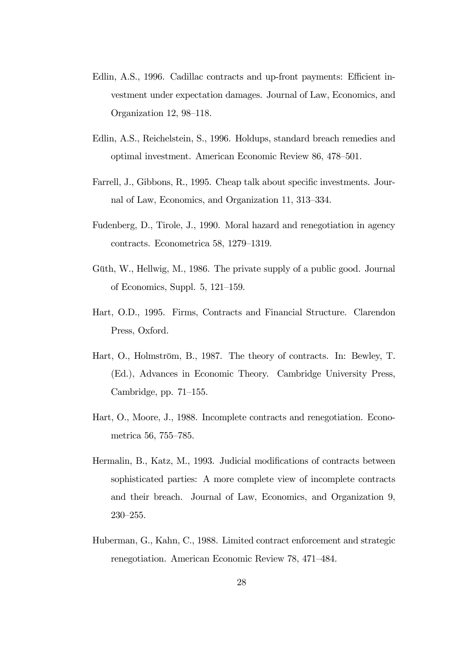- Edlin, A.S., 1996. Cadillac contracts and up-front payments: Efficient investment under expectation damages. Journal of Law, Economics, and Organization 12, 98—118.
- Edlin, A.S., Reichelstein, S., 1996. Holdups, standard breach remedies and optimal investment. American Economic Review 86, 478—501.
- Farrell, J., Gibbons, R., 1995. Cheap talk about specific investments. Journal of Law, Economics, and Organization 11, 313—334.
- Fudenberg, D., Tirole, J., 1990. Moral hazard and renegotiation in agency contracts. Econometrica 58, 1279—1319.
- Güth, W., Hellwig, M., 1986. The private supply of a public good. Journal of Economics, Suppl. 5, 121—159.
- Hart, O.D., 1995. Firms, Contracts and Financial Structure. Clarendon Press, Oxford.
- Hart, O., Holmström, B., 1987. The theory of contracts. In: Bewley, T. (Ed.), Advances in Economic Theory. Cambridge University Press, Cambridge, pp. 71—155.
- Hart, O., Moore, J., 1988. Incomplete contracts and renegotiation. Econometrica 56, 755—785.
- Hermalin, B., Katz, M., 1993. Judicial modifications of contracts between sophisticated parties: A more complete view of incomplete contracts and their breach. Journal of Law, Economics, and Organization 9, 230—255.
- Huberman, G., Kahn, C., 1988. Limited contract enforcement and strategic renegotiation. American Economic Review 78, 471—484.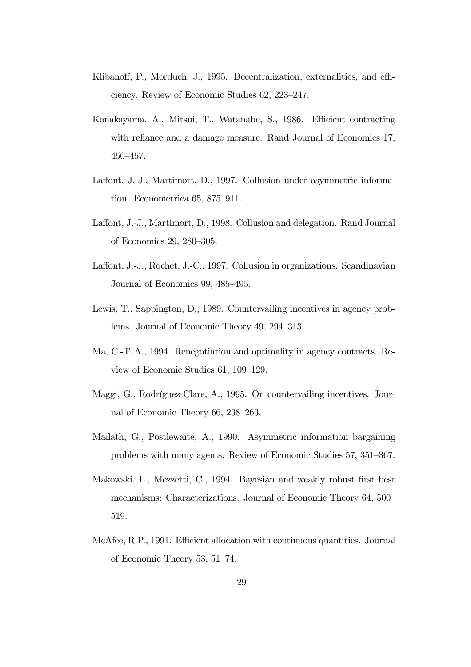- Klibanoff, P., Morduch, J., 1995. Decentralization, externalities, and efficiency. Review of Economic Studies 62, 223—247.
- Konakayama, A., Mitsui, T., Watanabe, S., 1986. Efficient contracting with reliance and a damage measure. Rand Journal of Economics 17, 450—457.
- Laffont, J.-J., Martimort, D., 1997. Collusion under asymmetric information. Econometrica 65, 875—911.
- Laffont, J.-J., Martimort, D., 1998. Collusion and delegation. Rand Journal of Economics 29, 280—305.
- Laffont, J.-J., Rochet, J.-C., 1997. Collusion in organizations. Scandinavian Journal of Economics 99, 485—495.
- Lewis, T., Sappington, D., 1989. Countervailing incentives in agency problems. Journal of Economic Theory 49, 294—313.
- Ma, C.-T. A., 1994. Renegotiation and optimality in agency contracts. Review of Economic Studies 61, 109—129.
- Maggi, G., Rodríguez-Clare, A., 1995. On countervailing incentives. Journal of Economic Theory 66, 238—263.
- Mailath, G., Postlewaite, A., 1990. Asymmetric information bargaining problems with many agents. Review of Economic Studies 57, 351—367.
- Makowski, L., Mezzetti, C., 1994. Bayesian and weakly robust first best mechanisms: Characterizations. Journal of Economic Theory 64, 500— 519.
- McAfee, R.P., 1991. Efficient allocation with continuous quantities. Journal of Economic Theory 53, 51—74.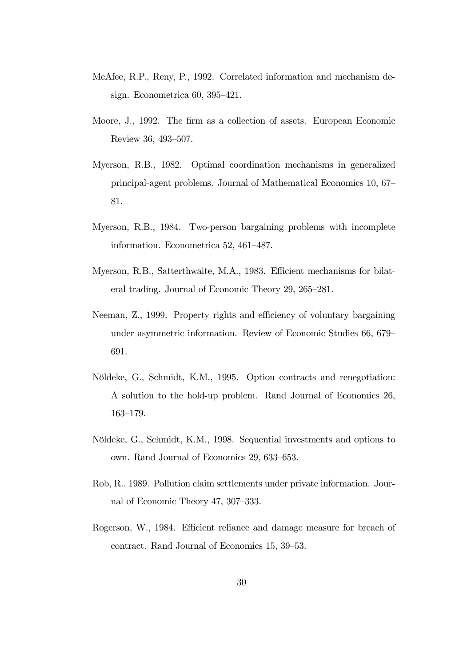- McAfee, R.P., Reny, P., 1992. Correlated information and mechanism design. Econometrica 60, 395—421.
- Moore, J., 1992. The firm as a collection of assets. European Economic Review 36, 493—507.
- Myerson, R.B., 1982. Optimal coordination mechanisms in generalized principal-agent problems. Journal of Mathematical Economics 10, 67— 81.
- Myerson, R.B., 1984. Two-person bargaining problems with incomplete information. Econometrica 52, 461—487.
- Myerson, R.B., Satterthwaite, M.A., 1983. Efficient mechanisms for bilateral trading. Journal of Economic Theory 29, 265—281.
- Neeman, Z., 1999. Property rights and efficiency of voluntary bargaining under asymmetric information. Review of Economic Studies 66, 679— 691.
- Nöldeke, G., Schmidt, K.M., 1995. Option contracts and renegotiation: A solution to the hold-up problem. Rand Journal of Economics 26, 163—179.
- Nöldeke, G., Schmidt, K.M., 1998. Sequential investments and options to own. Rand Journal of Economics 29, 633—653.
- Rob, R., 1989. Pollution claim settlements under private information. Journal of Economic Theory 47, 307—333.
- Rogerson, W., 1984. Efficient reliance and damage measure for breach of contract. Rand Journal of Economics 15, 39—53.